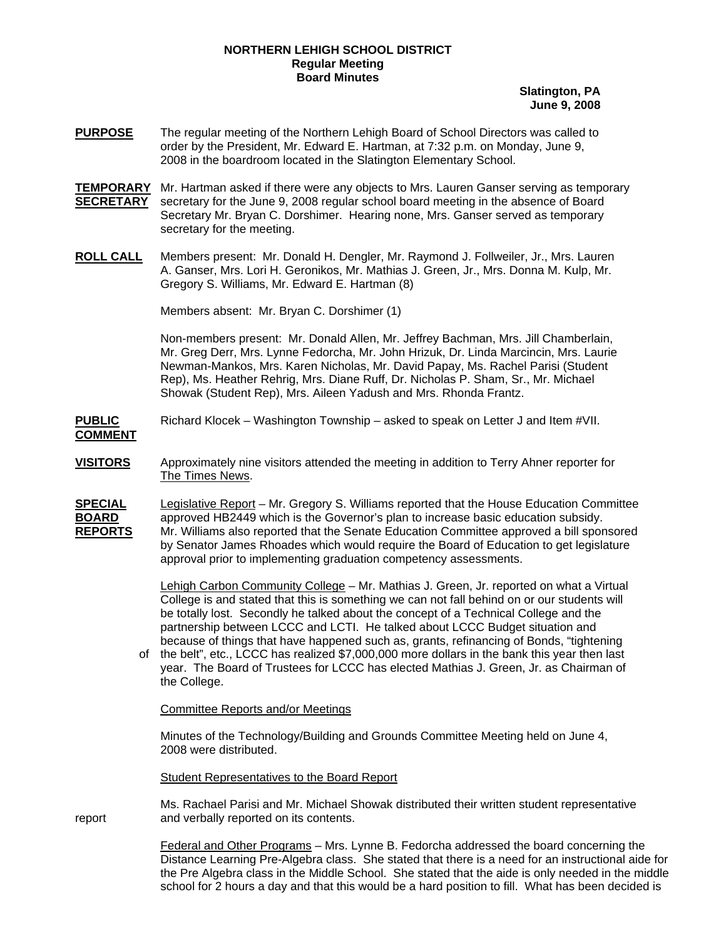## **NORTHERN LEHIGH SCHOOL DISTRICT Regular Meeting Board Minutes**

**Slatington, PA June 9, 2008**

- **PURPOSE** The regular meeting of the Northern Lehigh Board of School Directors was called to order by the President, Mr. Edward E. Hartman, at 7:32 p.m. on Monday, June 9, 2008 in the boardroom located in the Slatington Elementary School.
- **TEMPORARY** Mr. Hartman asked if there were any objects to Mrs. Lauren Ganser serving as temporary **SECRETARY** secretary for the June 9, 2008 regular school board meeting in the absence of Board Secretary Mr. Bryan C. Dorshimer. Hearing none, Mrs. Ganser served as temporary secretary for the meeting.
- **ROLL CALL** Members present: Mr. Donald H. Dengler, Mr. Raymond J. Follweiler, Jr., Mrs. Lauren A. Ganser, Mrs. Lori H. Geronikos, Mr. Mathias J. Green, Jr., Mrs. Donna M. Kulp, Mr. Gregory S. Williams, Mr. Edward E. Hartman (8)

Members absent: Mr. Bryan C. Dorshimer (1)

**COMMENT**

Non-members present: Mr. Donald Allen, Mr. Jeffrey Bachman, Mrs. Jill Chamberlain, Mr. Greg Derr, Mrs. Lynne Fedorcha, Mr. John Hrizuk, Dr. Linda Marcincin, Mrs. Laurie Newman-Mankos, Mrs. Karen Nicholas, Mr. David Papay, Ms. Rachel Parisi (Student Rep), Ms. Heather Rehrig, Mrs. Diane Ruff, Dr. Nicholas P. Sham, Sr., Mr. Michael Showak (Student Rep), Mrs. Aileen Yadush and Mrs. Rhonda Frantz.

**PUBLIC** Richard Klocek – Washington Township – asked to speak on Letter J and Item #VII.

- **VISITORS** Approximately nine visitors attended the meeting in addition to Terry Ahner reporter for The Times News.
- **SPECIAL** Legislative Report Mr. Gregory S. Williams reported that the House Education Committee **BOARD** approved HB2449 which is the Governor's plan to increase basic education subsidy.<br>**REPORTS** Mr. Williams also reported that the Senate Education Committee approved a bill spor **REPORTS** Mr. Williams also reported that the Senate Education Committee approved a bill sponsored by Senator James Rhoades which would require the Board of Education to get legislature approval prior to implementing graduation competency assessments.

Lehigh Carbon Community College – Mr. Mathias J. Green, Jr. reported on what a Virtual College is and stated that this is something we can not fall behind on or our students will be totally lost. Secondly he talked about the concept of a Technical College and the partnership between LCCC and LCTI. He talked about LCCC Budget situation and because of things that have happened such as, grants, refinancing of Bonds, "tightening

of the belt", etc., LCCC has realized \$7,000,000 more dollars in the bank this year then last year. The Board of Trustees for LCCC has elected Mathias J. Green, Jr. as Chairman of the College.

Committee Reports and/or Meetings

Minutes of the Technology/Building and Grounds Committee Meeting held on June 4, 2008 were distributed.

Student Representatives to the Board Report

 Ms. Rachael Parisi and Mr. Michael Showak distributed their written student representative report and verbally reported on its contents.

> Federal and Other Programs – Mrs. Lynne B. Fedorcha addressed the board concerning the Distance Learning Pre-Algebra class. She stated that there is a need for an instructional aide for the Pre Algebra class in the Middle School. She stated that the aide is only needed in the middle school for 2 hours a day and that this would be a hard position to fill. What has been decided is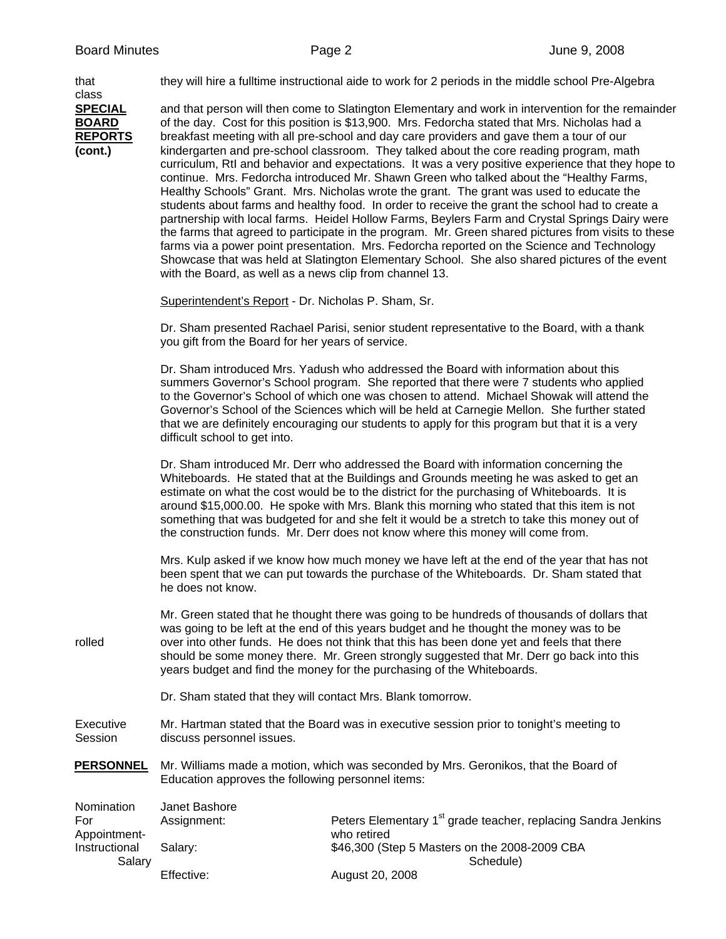| that<br>class                                               |                                                                                                                                                                                                                                                                                                                                                                                                                                                                                                                                                                                                                                                                                                                                                                                                                                                                                                                                                                                                                                                                                                                                                                                                                                                               | they will hire a fulltime instructional aide to work for 2 periods in the middle school Pre-Algebra                                                                                    |  |
|-------------------------------------------------------------|---------------------------------------------------------------------------------------------------------------------------------------------------------------------------------------------------------------------------------------------------------------------------------------------------------------------------------------------------------------------------------------------------------------------------------------------------------------------------------------------------------------------------------------------------------------------------------------------------------------------------------------------------------------------------------------------------------------------------------------------------------------------------------------------------------------------------------------------------------------------------------------------------------------------------------------------------------------------------------------------------------------------------------------------------------------------------------------------------------------------------------------------------------------------------------------------------------------------------------------------------------------|----------------------------------------------------------------------------------------------------------------------------------------------------------------------------------------|--|
| <b>SPECIAL</b><br><b>BOARD</b><br><b>REPORTS</b><br>(cont.) | and that person will then come to Slatington Elementary and work in intervention for the remainder<br>of the day. Cost for this position is \$13,900. Mrs. Fedorcha stated that Mrs. Nicholas had a<br>breakfast meeting with all pre-school and day care providers and gave them a tour of our<br>kindergarten and pre-school classroom. They talked about the core reading program, math<br>curriculum, RtI and behavior and expectations. It was a very positive experience that they hope to<br>continue. Mrs. Fedorcha introduced Mr. Shawn Green who talked about the "Healthy Farms,<br>Healthy Schools" Grant. Mrs. Nicholas wrote the grant. The grant was used to educate the<br>students about farms and healthy food. In order to receive the grant the school had to create a<br>partnership with local farms. Heidel Hollow Farms, Beylers Farm and Crystal Springs Dairy were<br>the farms that agreed to participate in the program. Mr. Green shared pictures from visits to these<br>farms via a power point presentation. Mrs. Fedorcha reported on the Science and Technology<br>Showcase that was held at Slatington Elementary School. She also shared pictures of the event<br>with the Board, as well as a news clip from channel 13. |                                                                                                                                                                                        |  |
|                                                             | Superintendent's Report - Dr. Nicholas P. Sham, Sr.                                                                                                                                                                                                                                                                                                                                                                                                                                                                                                                                                                                                                                                                                                                                                                                                                                                                                                                                                                                                                                                                                                                                                                                                           |                                                                                                                                                                                        |  |
|                                                             | Dr. Sham presented Rachael Parisi, senior student representative to the Board, with a thank<br>you gift from the Board for her years of service.                                                                                                                                                                                                                                                                                                                                                                                                                                                                                                                                                                                                                                                                                                                                                                                                                                                                                                                                                                                                                                                                                                              |                                                                                                                                                                                        |  |
|                                                             | Dr. Sham introduced Mrs. Yadush who addressed the Board with information about this<br>summers Governor's School program. She reported that there were 7 students who applied<br>to the Governor's School of which one was chosen to attend. Michael Showak will attend the<br>Governor's School of the Sciences which will be held at Carnegie Mellon. She further stated<br>that we are definitely encouraging our students to apply for this program but that it is a very<br>difficult school to get into.                                                                                                                                                                                                                                                                                                                                                                                                                                                                                                                                                                                                                                                                                                                                                |                                                                                                                                                                                        |  |
|                                                             | Dr. Sham introduced Mr. Derr who addressed the Board with information concerning the<br>Whiteboards. He stated that at the Buildings and Grounds meeting he was asked to get an<br>estimate on what the cost would be to the district for the purchasing of Whiteboards. It is<br>around \$15,000.00. He spoke with Mrs. Blank this morning who stated that this item is not<br>something that was budgeted for and she felt it would be a stretch to take this money out of<br>the construction funds. Mr. Derr does not know where this money will come from.                                                                                                                                                                                                                                                                                                                                                                                                                                                                                                                                                                                                                                                                                               |                                                                                                                                                                                        |  |
|                                                             | he does not know.                                                                                                                                                                                                                                                                                                                                                                                                                                                                                                                                                                                                                                                                                                                                                                                                                                                                                                                                                                                                                                                                                                                                                                                                                                             | Mrs. Kulp asked if we know how much money we have left at the end of the year that has not<br>been spent that we can put towards the purchase of the Whiteboards. Dr. Sham stated that |  |
| rolled                                                      | Mr. Green stated that he thought there was going to be hundreds of thousands of dollars that<br>was going to be left at the end of this years budget and he thought the money was to be<br>over into other funds. He does not think that this has been done yet and feels that there<br>should be some money there. Mr. Green strongly suggested that Mr. Derr go back into this<br>years budget and find the money for the purchasing of the Whiteboards.                                                                                                                                                                                                                                                                                                                                                                                                                                                                                                                                                                                                                                                                                                                                                                                                    |                                                                                                                                                                                        |  |
|                                                             | Dr. Sham stated that they will contact Mrs. Blank tomorrow.                                                                                                                                                                                                                                                                                                                                                                                                                                                                                                                                                                                                                                                                                                                                                                                                                                                                                                                                                                                                                                                                                                                                                                                                   |                                                                                                                                                                                        |  |
| Executive<br>Session                                        | Mr. Hartman stated that the Board was in executive session prior to tonight's meeting to<br>discuss personnel issues.                                                                                                                                                                                                                                                                                                                                                                                                                                                                                                                                                                                                                                                                                                                                                                                                                                                                                                                                                                                                                                                                                                                                         |                                                                                                                                                                                        |  |
| <u>PERSONNEL</u>                                            | Mr. Williams made a motion, which was seconded by Mrs. Geronikos, that the Board of<br>Education approves the following personnel items:                                                                                                                                                                                                                                                                                                                                                                                                                                                                                                                                                                                                                                                                                                                                                                                                                                                                                                                                                                                                                                                                                                                      |                                                                                                                                                                                        |  |
| Nomination<br>For                                           | Janet Bashore<br>Assignment:                                                                                                                                                                                                                                                                                                                                                                                                                                                                                                                                                                                                                                                                                                                                                                                                                                                                                                                                                                                                                                                                                                                                                                                                                                  | Peters Elementary 1 <sup>st</sup> grade teacher, replacing Sandra Jenkins                                                                                                              |  |
| Appointment-<br>Instructional<br>Salary                     | Salary:                                                                                                                                                                                                                                                                                                                                                                                                                                                                                                                                                                                                                                                                                                                                                                                                                                                                                                                                                                                                                                                                                                                                                                                                                                                       | who retired<br>\$46,300 (Step 5 Masters on the 2008-2009 CBA                                                                                                                           |  |
|                                                             | Effective:                                                                                                                                                                                                                                                                                                                                                                                                                                                                                                                                                                                                                                                                                                                                                                                                                                                                                                                                                                                                                                                                                                                                                                                                                                                    | Schedule)<br>August 20, 2008                                                                                                                                                           |  |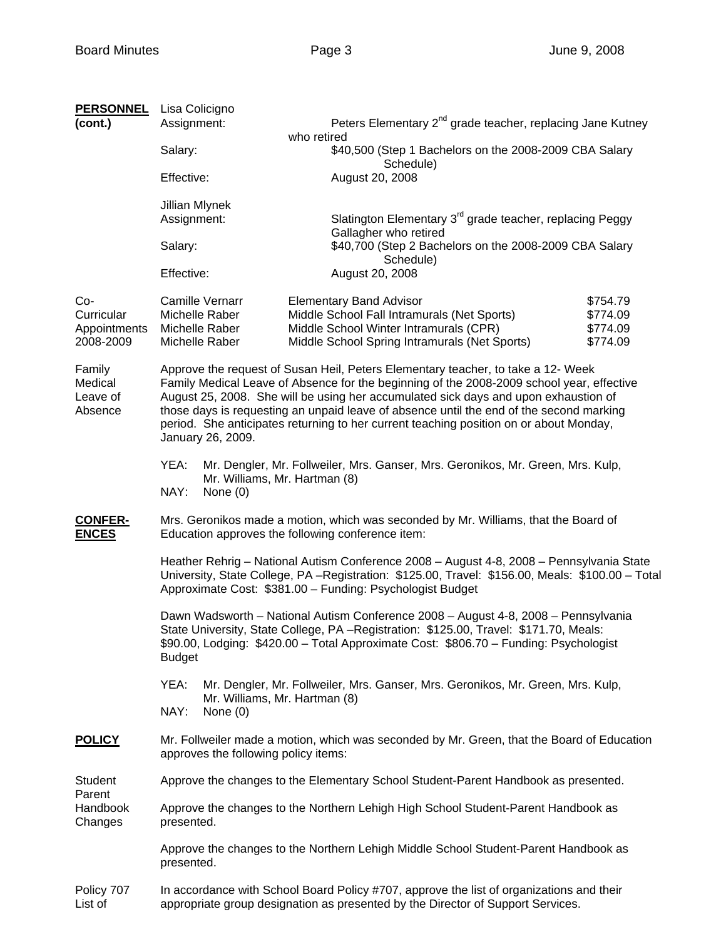| <b>PERSONNEL</b><br>(cont.)                    | Lisa Colicigno<br>Assignment:                                                                                                                                                                                                                                                                                                                                                                                                                                                  | Peters Elementary 2 <sup>nd</sup> grade teacher, replacing Jane Kutney<br>who retired                                                                                    |                                                                      |               |                                                                                                                                    |
|------------------------------------------------|--------------------------------------------------------------------------------------------------------------------------------------------------------------------------------------------------------------------------------------------------------------------------------------------------------------------------------------------------------------------------------------------------------------------------------------------------------------------------------|--------------------------------------------------------------------------------------------------------------------------------------------------------------------------|----------------------------------------------------------------------|---------------|------------------------------------------------------------------------------------------------------------------------------------|
|                                                | Salary:                                                                                                                                                                                                                                                                                                                                                                                                                                                                        | \$40,500 (Step 1 Bachelors on the 2008-2009 CBA Salary<br>Schedule)                                                                                                      |                                                                      |               |                                                                                                                                    |
|                                                | Effective:                                                                                                                                                                                                                                                                                                                                                                                                                                                                     | August 20, 2008                                                                                                                                                          |                                                                      |               |                                                                                                                                    |
|                                                | Jillian Mlynek<br>Assignment:                                                                                                                                                                                                                                                                                                                                                                                                                                                  | Gallagher who retired                                                                                                                                                    | Slatington Elementary 3 <sup>rd</sup> grade teacher, replacing Peggy |               |                                                                                                                                    |
|                                                | Salary:                                                                                                                                                                                                                                                                                                                                                                                                                                                                        | Schedule)                                                                                                                                                                | \$40,700 (Step 2 Bachelors on the 2008-2009 CBA Salary               |               |                                                                                                                                    |
|                                                | Effective:                                                                                                                                                                                                                                                                                                                                                                                                                                                                     | August 20, 2008                                                                                                                                                          |                                                                      |               |                                                                                                                                    |
| Co-<br>Curricular<br>Appointments<br>2008-2009 | <b>Camille Vernarr</b><br>Michelle Raber<br>Michelle Raber<br>Michelle Raber                                                                                                                                                                                                                                                                                                                                                                                                   | <b>Elementary Band Advisor</b><br>Middle School Fall Intramurals (Net Sports)<br>Middle School Winter Intramurals (CPR)<br>Middle School Spring Intramurals (Net Sports) | \$754.79<br>\$774.09<br>\$774.09<br>\$774.09                         |               |                                                                                                                                    |
| Family<br>Medical<br>Leave of<br>Absence       | Approve the request of Susan Heil, Peters Elementary teacher, to take a 12- Week<br>Family Medical Leave of Absence for the beginning of the 2008-2009 school year, effective<br>August 25, 2008. She will be using her accumulated sick days and upon exhaustion of<br>those days is requesting an unpaid leave of absence until the end of the second marking<br>period. She anticipates returning to her current teaching position on or about Monday,<br>January 26, 2009. |                                                                                                                                                                          |                                                                      |               |                                                                                                                                    |
|                                                | YEA:<br>Mr. Dengler, Mr. Follweiler, Mrs. Ganser, Mrs. Geronikos, Mr. Green, Mrs. Kulp,<br>Mr. Williams, Mr. Hartman (8)<br>NAY:<br>None $(0)$                                                                                                                                                                                                                                                                                                                                 |                                                                                                                                                                          |                                                                      |               |                                                                                                                                    |
| <b>CONFER-</b><br><b>ENCES</b>                 | Mrs. Geronikos made a motion, which was seconded by Mr. Williams, that the Board of<br>Education approves the following conference item:                                                                                                                                                                                                                                                                                                                                       |                                                                                                                                                                          |                                                                      |               |                                                                                                                                    |
|                                                | Heather Rehrig - National Autism Conference 2008 - August 4-8, 2008 - Pennsylvania State<br>University, State College, PA -Registration: \$125.00, Travel: \$156.00, Meals: \$100.00 - Total<br>Approximate Cost: \$381.00 - Funding: Psychologist Budget                                                                                                                                                                                                                      |                                                                                                                                                                          |                                                                      |               |                                                                                                                                    |
|                                                | Dawn Wadsworth - National Autism Conference 2008 - August 4-8, 2008 - Pennsylvania<br>State University, State College, PA - Registration: \$125.00, Travel: \$171.70, Meals:<br>\$90.00, Lodging: \$420.00 - Total Approximate Cost: \$806.70 - Funding: Psychologist<br><b>Budget</b>                                                                                                                                                                                         |                                                                                                                                                                          |                                                                      |               |                                                                                                                                    |
|                                                | YEA:<br>Mr. Dengler, Mr. Follweiler, Mrs. Ganser, Mrs. Geronikos, Mr. Green, Mrs. Kulp,<br>Mr. Williams, Mr. Hartman (8)<br>NAY:<br>None $(0)$                                                                                                                                                                                                                                                                                                                                 |                                                                                                                                                                          |                                                                      |               |                                                                                                                                    |
|                                                |                                                                                                                                                                                                                                                                                                                                                                                                                                                                                |                                                                                                                                                                          |                                                                      | <b>POLICY</b> | Mr. Follweiler made a motion, which was seconded by Mr. Green, that the Board of Education<br>approves the following policy items: |
| Student<br>Parent<br>Handbook<br>Changes       | Approve the changes to the Elementary School Student-Parent Handbook as presented.                                                                                                                                                                                                                                                                                                                                                                                             |                                                                                                                                                                          |                                                                      |               |                                                                                                                                    |
|                                                | Approve the changes to the Northern Lehigh High School Student-Parent Handbook as<br>presented.                                                                                                                                                                                                                                                                                                                                                                                |                                                                                                                                                                          |                                                                      |               |                                                                                                                                    |
|                                                | Approve the changes to the Northern Lehigh Middle School Student-Parent Handbook as<br>presented.                                                                                                                                                                                                                                                                                                                                                                              |                                                                                                                                                                          |                                                                      |               |                                                                                                                                    |
| Policy 707<br>List of                          | In accordance with School Board Policy #707, approve the list of organizations and their<br>appropriate group designation as presented by the Director of Support Services.                                                                                                                                                                                                                                                                                                    |                                                                                                                                                                          |                                                                      |               |                                                                                                                                    |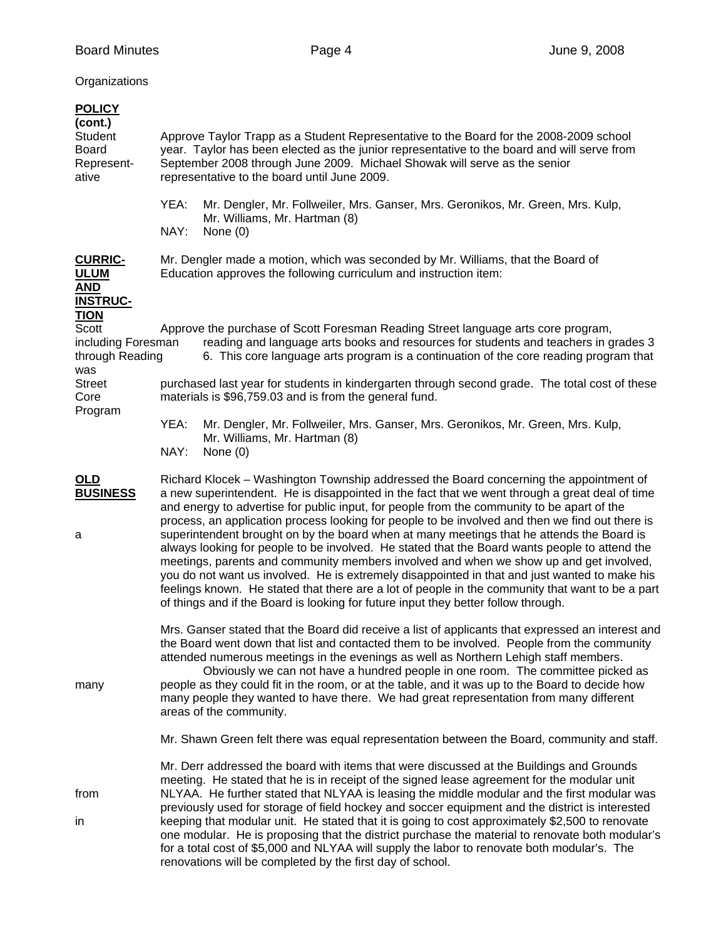## **Organizations**

| <b>POLICY</b><br>(cont.)<br><b>Student</b><br><b>Board</b><br>Represent-<br>ative | Approve Taylor Trapp as a Student Representative to the Board for the 2008-2009 school<br>year. Taylor has been elected as the junior representative to the board and will serve from<br>September 2008 through June 2009. Michael Showak will serve as the senior<br>representative to the board until June 2009.<br>YEA:<br>Mr. Dengler, Mr. Follweiler, Mrs. Ganser, Mrs. Geronikos, Mr. Green, Mrs. Kulp,<br>Mr. Williams, Mr. Hartman (8)<br>NAY:<br>None $(0)$                                                                                                                                                                                                                                                                                                                                                                                                                                                                                                         |
|-----------------------------------------------------------------------------------|------------------------------------------------------------------------------------------------------------------------------------------------------------------------------------------------------------------------------------------------------------------------------------------------------------------------------------------------------------------------------------------------------------------------------------------------------------------------------------------------------------------------------------------------------------------------------------------------------------------------------------------------------------------------------------------------------------------------------------------------------------------------------------------------------------------------------------------------------------------------------------------------------------------------------------------------------------------------------|
| <b>CURRIC-</b><br><b>ULUM</b><br><b>AND</b><br><b>INSTRUC-</b>                    | Mr. Dengler made a motion, which was seconded by Mr. Williams, that the Board of<br>Education approves the following curriculum and instruction item:                                                                                                                                                                                                                                                                                                                                                                                                                                                                                                                                                                                                                                                                                                                                                                                                                        |
| <u>TION</u><br>Scott<br>including Foresman<br>through Reading<br>was              | Approve the purchase of Scott Foresman Reading Street language arts core program,<br>reading and language arts books and resources for students and teachers in grades 3<br>6. This core language arts program is a continuation of the core reading program that                                                                                                                                                                                                                                                                                                                                                                                                                                                                                                                                                                                                                                                                                                            |
| <b>Street</b><br>Core<br>Program                                                  | purchased last year for students in kindergarten through second grade. The total cost of these<br>materials is \$96,759.03 and is from the general fund.                                                                                                                                                                                                                                                                                                                                                                                                                                                                                                                                                                                                                                                                                                                                                                                                                     |
|                                                                                   | YEA:<br>Mr. Dengler, Mr. Follweiler, Mrs. Ganser, Mrs. Geronikos, Mr. Green, Mrs. Kulp,<br>Mr. Williams, Mr. Hartman (8)<br>NAY:<br>None $(0)$                                                                                                                                                                                                                                                                                                                                                                                                                                                                                                                                                                                                                                                                                                                                                                                                                               |
| <u>OLD</u><br><b>BUSINESS</b><br>a                                                | Richard Klocek – Washington Township addressed the Board concerning the appointment of<br>a new superintendent. He is disappointed in the fact that we went through a great deal of time<br>and energy to advertise for public input, for people from the community to be apart of the<br>process, an application process looking for people to be involved and then we find out there is<br>superintendent brought on by the board when at many meetings that he attends the Board is<br>always looking for people to be involved. He stated that the Board wants people to attend the<br>meetings, parents and community members involved and when we show up and get involved,<br>you do not want us involved. He is extremely disappointed in that and just wanted to make his<br>feelings known. He stated that there are a lot of people in the community that want to be a part<br>of things and if the Board is looking for future input they better follow through. |
| many                                                                              | Mrs. Ganser stated that the Board did receive a list of applicants that expressed an interest and<br>the Board went down that list and contacted them to be involved. People from the community<br>attended numerous meetings in the evenings as well as Northern Lehigh staff members.<br>Obviously we can not have a hundred people in one room. The committee picked as<br>people as they could fit in the room, or at the table, and it was up to the Board to decide how<br>many people they wanted to have there. We had great representation from many different<br>areas of the community.                                                                                                                                                                                                                                                                                                                                                                           |
|                                                                                   | Mr. Shawn Green felt there was equal representation between the Board, community and staff.                                                                                                                                                                                                                                                                                                                                                                                                                                                                                                                                                                                                                                                                                                                                                                                                                                                                                  |
| from<br>in                                                                        | Mr. Derr addressed the board with items that were discussed at the Buildings and Grounds<br>meeting. He stated that he is in receipt of the signed lease agreement for the modular unit<br>NLYAA. He further stated that NLYAA is leasing the middle modular and the first modular was<br>previously used for storage of field hockey and soccer equipment and the district is interested<br>keeping that modular unit. He stated that it is going to cost approximately \$2,500 to renovate<br>one modular. He is proposing that the district purchase the material to renovate both modular's<br>for a total cost of \$5,000 and NLYAA will supply the labor to renovate both modular's. The<br>renovations will be completed by the first day of school.                                                                                                                                                                                                                  |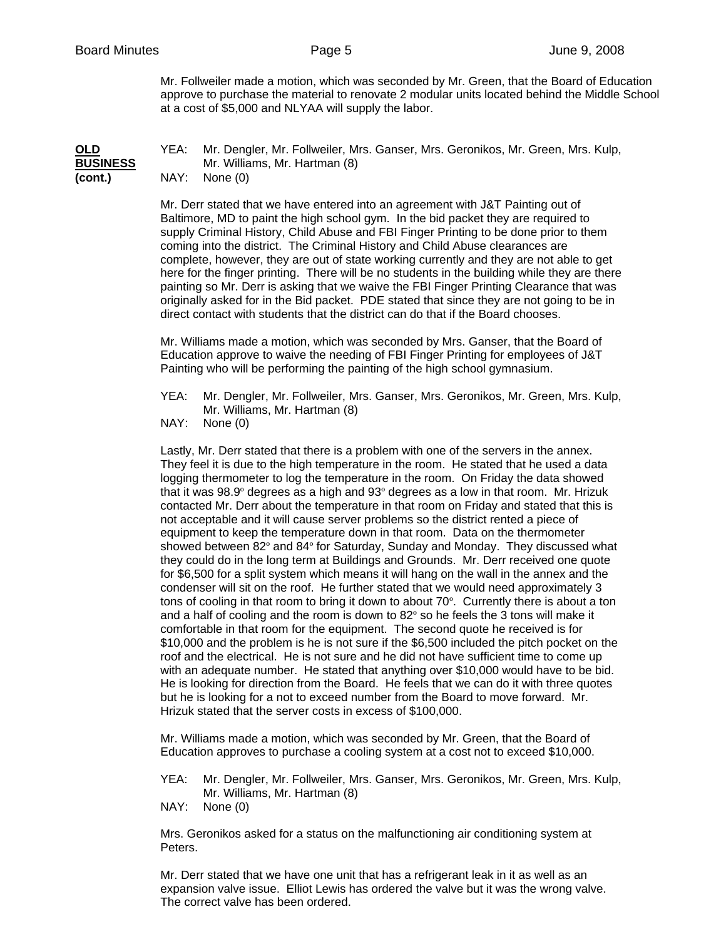Mr. Follweiler made a motion, which was seconded by Mr. Green, that the Board of Education approve to purchase the material to renovate 2 modular units located behind the Middle School at a cost of \$5,000 and NLYAA will supply the labor.

## **OLD** YEA: Mr. Dengler, Mr. Follweiler, Mrs. Ganser, Mrs. Geronikos, Mr. Green, Mrs. Kulp, **BUSINESS** Mr. Williams, Mr. Hartman (8)<br>(cont.) MAY: None (0) **(cont.)** NAY: None (0)

Mr. Derr stated that we have entered into an agreement with J&T Painting out of Baltimore, MD to paint the high school gym. In the bid packet they are required to supply Criminal History, Child Abuse and FBI Finger Printing to be done prior to them coming into the district. The Criminal History and Child Abuse clearances are complete, however, they are out of state working currently and they are not able to get here for the finger printing. There will be no students in the building while they are there painting so Mr. Derr is asking that we waive the FBI Finger Printing Clearance that was originally asked for in the Bid packet. PDE stated that since they are not going to be in direct contact with students that the district can do that if the Board chooses.

Mr. Williams made a motion, which was seconded by Mrs. Ganser, that the Board of Education approve to waive the needing of FBI Finger Printing for employees of J&T Painting who will be performing the painting of the high school gymnasium.

YEA: Mr. Dengler, Mr. Follweiler, Mrs. Ganser, Mrs. Geronikos, Mr. Green, Mrs. Kulp, Mr. Williams, Mr. Hartman (8)

NAY: None (0)

Lastly, Mr. Derr stated that there is a problem with one of the servers in the annex. They feel it is due to the high temperature in the room. He stated that he used a data logging thermometer to log the temperature in the room. On Friday the data showed that it was 98.9º degrees as a high and 93º degrees as a low in that room. Mr. Hrizuk contacted Mr. Derr about the temperature in that room on Friday and stated that this is not acceptable and it will cause server problems so the district rented a piece of equipment to keep the temperature down in that room. Data on the thermometer showed between 82º and 84º for Saturday, Sunday and Monday. They discussed what they could do in the long term at Buildings and Grounds. Mr. Derr received one quote for \$6,500 for a split system which means it will hang on the wall in the annex and the condenser will sit on the roof. He further stated that we would need approximately 3 tons of cooling in that room to bring it down to about 70º. Currently there is about a ton and a half of cooling and the room is down to 82º so he feels the 3 tons will make it comfortable in that room for the equipment. The second quote he received is for \$10,000 and the problem is he is not sure if the \$6,500 included the pitch pocket on the roof and the electrical. He is not sure and he did not have sufficient time to come up with an adequate number. He stated that anything over \$10,000 would have to be bid. He is looking for direction from the Board. He feels that we can do it with three quotes but he is looking for a not to exceed number from the Board to move forward. Mr. Hrizuk stated that the server costs in excess of \$100,000.

Mr. Williams made a motion, which was seconded by Mr. Green, that the Board of Education approves to purchase a cooling system at a cost not to exceed \$10,000.

- YEA: Mr. Dengler, Mr. Follweiler, Mrs. Ganser, Mrs. Geronikos, Mr. Green, Mrs. Kulp, Mr. Williams, Mr. Hartman (8)
- NAY: None (0)

Mrs. Geronikos asked for a status on the malfunctioning air conditioning system at Peters.

Mr. Derr stated that we have one unit that has a refrigerant leak in it as well as an expansion valve issue. Elliot Lewis has ordered the valve but it was the wrong valve. The correct valve has been ordered.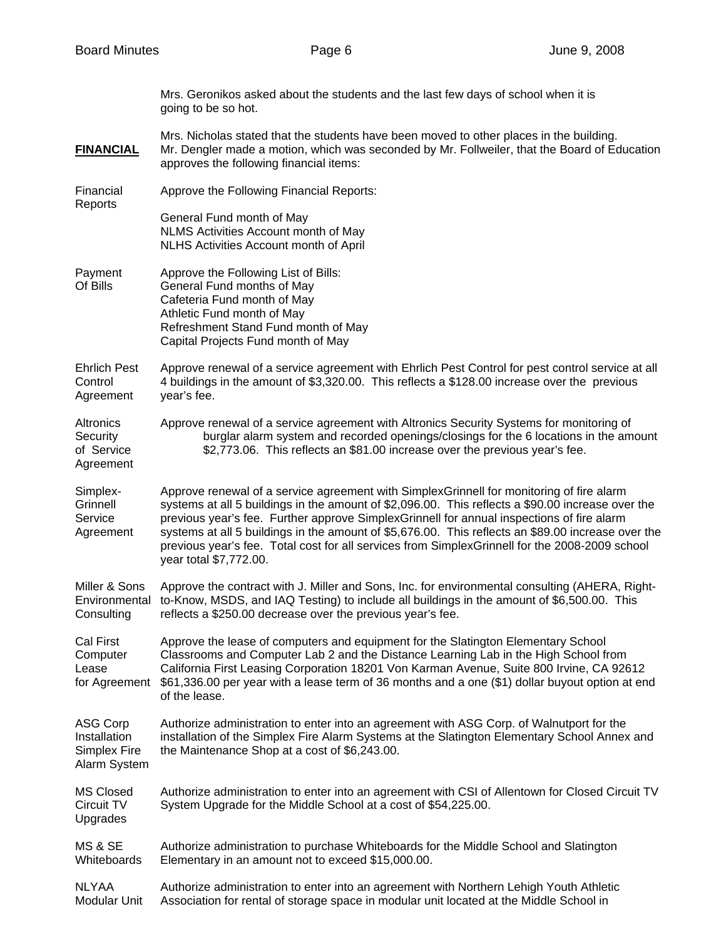Mrs. Geronikos asked about the students and the last few days of school when it is going to be so hot.

Mrs. Nicholas stated that the students have been moved to other places in the building. **FINANCIAL** Mr. Dengler made a motion, which was seconded by Mr. Follweiler, that the Board of Education approves the following financial items:

Financial Approve the Following Financial Reports: **Reports** 

> General Fund month of May NLMS Activities Account month of May NLHS Activities Account month of April

- Payment Approve the Following List of Bills: Of Bills General Fund months of May Cafeteria Fund month of May Athletic Fund month of May Refreshment Stand Fund month of May Capital Projects Fund month of May
- Ehrlich Pest Approve renewal of a service agreement with Ehrlich Pest Control for pest control service at all Control 4 buildings in the amount of \$3,320.00. This reflects a \$128.00 increase over the previous Agreement year's fee.
- Altronics Approve renewal of a service agreement with Altronics Security Systems for monitoring of Security burglar alarm system and recorded openings/closings for the 6 locations in the amount of Service \$2,773.06. This reflects an \$81.00 increase over the previous year's fee. Agreement
- Simplex- Approve renewal of a service agreement with SimplexGrinnell for monitoring of fire alarm Grinnell systems at all 5 buildings in the amount of \$2,096.00. This reflects a \$90.00 increase over the Service previous year's fee. Further approve SimplexGrinnell for annual inspections of fire alarm Agreement systems at all 5 buildings in the amount of \$5,676.00. This reflects an \$89.00 increase over the previous year's fee. Total cost for all services from SimplexGrinnell for the 2008-2009 school year total \$7,772.00.
- Miller & Sons Approve the contract with J. Miller and Sons, Inc. for environmental consulting (AHERA, Right-Environmental to-Know, MSDS, and IAQ Testing) to include all buildings in the amount of \$6,500.00. This Consulting reflects a \$250.00 decrease over the previous year's fee.

Cal First Approve the lease of computers and equipment for the Slatington Elementary School Computer Classrooms and Computer Lab 2 and the Distance Learning Lab in the High School from Lease California First Leasing Corporation 18201 Von Karman Avenue, Suite 800 Irvine, CA 92612 for Agreement \$61,336.00 per year with a lease term of 36 months and a one (\$1) dollar buyout option at end of the lease.

ASG Corp Authorize administration to enter into an agreement with ASG Corp. of Walnutport for the Installation installation of the Simplex Fire Alarm Systems at the Slatington Elementary School Annex and Simplex Fire the Maintenance Shop at a cost of \$6,243.00. Alarm System

MS Closed Authorize administration to enter into an agreement with CSI of Allentown for Closed Circuit TV Circuit TV System Upgrade for the Middle School at a cost of \$54,225.00. Upgrades

MS & SE Authorize administration to purchase Whiteboards for the Middle School and Slatington Whiteboards Elementary in an amount not to exceed \$15,000.00.

NLYAA Authorize administration to enter into an agreement with Northern Lehigh Youth Athletic Modular Unit Association for rental of storage space in modular unit located at the Middle School in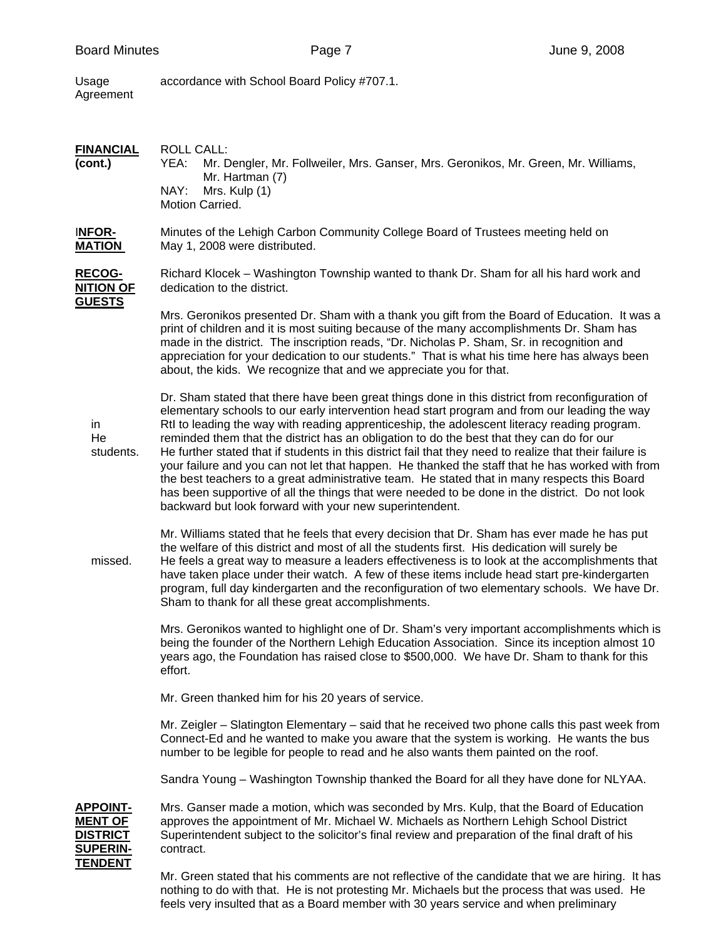accordance with School Board Policy #707.1. Usage<br>Agreement

| <b>FINANCIAL</b><br>(cont.)                                                        | <b>ROLL CALL:</b><br>Mr. Dengler, Mr. Follweiler, Mrs. Ganser, Mrs. Geronikos, Mr. Green, Mr. Williams,<br>YEA:<br>Mr. Hartman (7)<br>NAY:<br>Mrs. Kulp (1)<br>Motion Carried.                                                                                                                                                                                                                                                                                                                                                                                                                                                                                                                                                                                                                                                                                           |  |  |
|------------------------------------------------------------------------------------|--------------------------------------------------------------------------------------------------------------------------------------------------------------------------------------------------------------------------------------------------------------------------------------------------------------------------------------------------------------------------------------------------------------------------------------------------------------------------------------------------------------------------------------------------------------------------------------------------------------------------------------------------------------------------------------------------------------------------------------------------------------------------------------------------------------------------------------------------------------------------|--|--|
| <b>INFOR-</b><br><b>MATION</b>                                                     | Minutes of the Lehigh Carbon Community College Board of Trustees meeting held on<br>May 1, 2008 were distributed.                                                                                                                                                                                                                                                                                                                                                                                                                                                                                                                                                                                                                                                                                                                                                        |  |  |
| <b>RECOG-</b><br><b>NITION OF</b>                                                  | Richard Klocek – Washington Township wanted to thank Dr. Sham for all his hard work and<br>dedication to the district.                                                                                                                                                                                                                                                                                                                                                                                                                                                                                                                                                                                                                                                                                                                                                   |  |  |
| <u>GUESTS</u>                                                                      | Mrs. Geronikos presented Dr. Sham with a thank you gift from the Board of Education. It was a<br>print of children and it is most suiting because of the many accomplishments Dr. Sham has<br>made in the district. The inscription reads, "Dr. Nicholas P. Sham, Sr. in recognition and<br>appreciation for your dedication to our students." That is what his time here has always been<br>about, the kids. We recognize that and we appreciate you for that.                                                                                                                                                                                                                                                                                                                                                                                                          |  |  |
| in<br>He<br>students.                                                              | Dr. Sham stated that there have been great things done in this district from reconfiguration of<br>elementary schools to our early intervention head start program and from our leading the way<br>RtI to leading the way with reading apprenticeship, the adolescent literacy reading program.<br>reminded them that the district has an obligation to do the best that they can do for our<br>He further stated that if students in this district fail that they need to realize that their failure is<br>your failure and you can not let that happen. He thanked the staff that he has worked with from<br>the best teachers to a great administrative team. He stated that in many respects this Board<br>has been supportive of all the things that were needed to be done in the district. Do not look<br>backward but look forward with your new superintendent. |  |  |
| missed.                                                                            | Mr. Williams stated that he feels that every decision that Dr. Sham has ever made he has put<br>the welfare of this district and most of all the students first. His dedication will surely be<br>He feels a great way to measure a leaders effectiveness is to look at the accomplishments that<br>have taken place under their watch. A few of these items include head start pre-kindergarten<br>program, full day kindergarten and the reconfiguration of two elementary schools. We have Dr.<br>Sham to thank for all these great accomplishments.                                                                                                                                                                                                                                                                                                                  |  |  |
|                                                                                    | Mrs. Geronikos wanted to highlight one of Dr. Sham's very important accomplishments which is<br>being the founder of the Northern Lehigh Education Association. Since its inception almost 10<br>years ago, the Foundation has raised close to \$500,000. We have Dr. Sham to thank for this<br>effort.                                                                                                                                                                                                                                                                                                                                                                                                                                                                                                                                                                  |  |  |
|                                                                                    | Mr. Green thanked him for his 20 years of service.                                                                                                                                                                                                                                                                                                                                                                                                                                                                                                                                                                                                                                                                                                                                                                                                                       |  |  |
|                                                                                    | Mr. Zeigler – Slatington Elementary – said that he received two phone calls this past week from<br>Connect-Ed and he wanted to make you aware that the system is working. He wants the bus<br>number to be legible for people to read and he also wants them painted on the roof.                                                                                                                                                                                                                                                                                                                                                                                                                                                                                                                                                                                        |  |  |
|                                                                                    | Sandra Young – Washington Township thanked the Board for all they have done for NLYAA.                                                                                                                                                                                                                                                                                                                                                                                                                                                                                                                                                                                                                                                                                                                                                                                   |  |  |
| <b>APPOINT-</b><br>MENT OF<br><u>DISTRICT</u><br><b>SUPERIN-</b><br><b>TENDENT</b> | Mrs. Ganser made a motion, which was seconded by Mrs. Kulp, that the Board of Education<br>approves the appointment of Mr. Michael W. Michaels as Northern Lehigh School District<br>Superintendent subject to the solicitor's final review and preparation of the final draft of his<br>contract.                                                                                                                                                                                                                                                                                                                                                                                                                                                                                                                                                                       |  |  |
|                                                                                    | Mr. Green stated that his comments are not reflective of the candidate that we are hiring. It has<br>nothing to do with that. He is not protesting Mr. Michaels but the process that was used. He                                                                                                                                                                                                                                                                                                                                                                                                                                                                                                                                                                                                                                                                        |  |  |

feels very insulted that as a Board member with 30 years service and when preliminary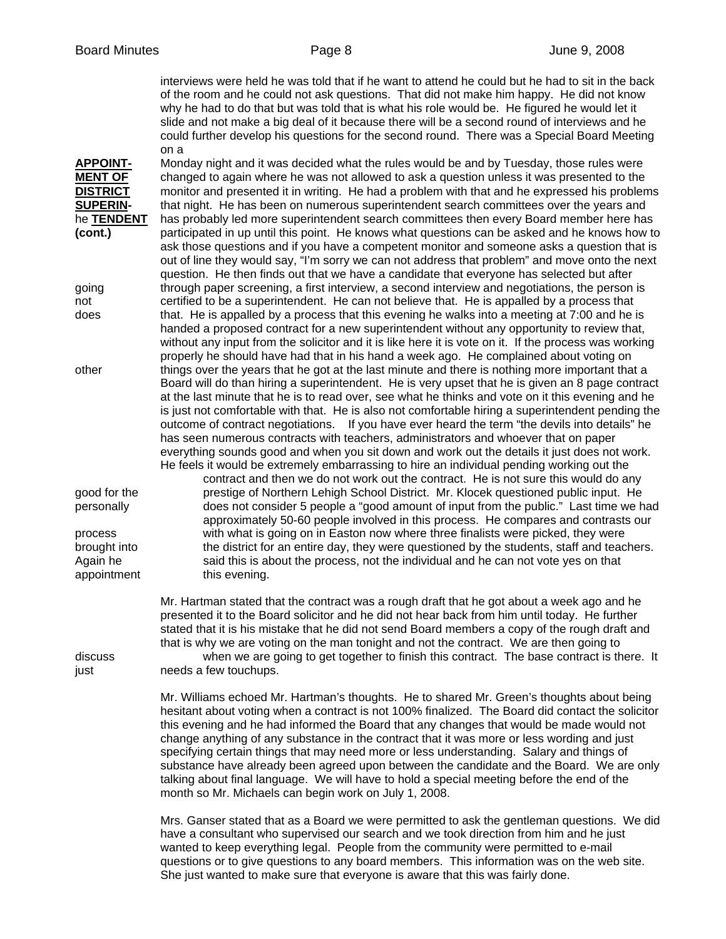interviews were held he was told that if he want to attend he could but he had to sit in the back of the room and he could not ask questions. That did not make him happy. He did not know why he had to do that but was told that is what his role would be. He figured he would let it slide and not make a big deal of it because there will be a second round of interviews and he could further develop his questions for the second round. There was a Special Board Meeting on a

**APPOINT-** Monday night and it was decided what the rules would be and by Tuesday, those rules were **MENT OF** changed to again where he was not allowed to ask a question unless it was presented to the **DISTRICT** monitor and presented it in writing. He had a problem with that and he expressed his problems **SUPERIN-** that night. He has been on numerous superintendent search committees over the years and he **TENDENT** has probably led more superintendent search committees then every Board member here has **(cont.)** participated in up until this point. He knows what questions can be asked and he knows how to ask those questions and if you have a competent monitor and someone asks a question that is out of line they would say, "I'm sorry we can not address that problem" and move onto the next question. He then finds out that we have a candidate that everyone has selected but after going through paper screening, a first interview, a second interview and negotiations, the person is not certified to be a superintendent. He can not believe that. He is appalled by a process that does that. He is appalled by a process that this evening he walks into a meeting at 7:00 and he is handed a proposed contract for a new superintendent without any opportunity to review that, without any input from the solicitor and it is like here it is vote on it. If the process was working properly he should have had that in his hand a week ago. He complained about voting on other things over the years that he got at the last minute and there is nothing more important that a Board will do than hiring a superintendent. He is very upset that he is given an 8 page contract at the last minute that he is to read over, see what he thinks and vote on it this evening and he is just not comfortable with that. He is also not comfortable hiring a superintendent pending the outcome of contract negotiations. If you have ever heard the term "the devils into details" he has seen numerous contracts with teachers, administrators and whoever that on paper everything sounds good and when you sit down and work out the details it just does not work. He feels it would be extremely embarrassing to hire an individual pending working out the

 contract and then we do not work out the contract. He is not sure this would do any good for the prestige of Northern Lehigh School District. Mr. Klocek questioned public input. He personally does not consider 5 people a "good amount of input from the public." Last time we had approximately 50-60 people involved in this process. He compares and contrasts our process with what is going on in Easton now where three finalists were picked, they were brought into the district for an entire day, they were questioned by the students, staff and teachers. Again he said this is about the process, not the individual and he can not vote yes on that appointment this evening.

> Mr. Hartman stated that the contract was a rough draft that he got about a week ago and he presented it to the Board solicitor and he did not hear back from him until today. He further stated that it is his mistake that he did not send Board members a copy of the rough draft and that is why we are voting on the man tonight and not the contract. We are then going to

discuss when we are going to get together to finish this contract. The base contract is there. It just needs a few touchups.

> Mr. Williams echoed Mr. Hartman's thoughts. He to shared Mr. Green's thoughts about being hesitant about voting when a contract is not 100% finalized. The Board did contact the solicitor this evening and he had informed the Board that any changes that would be made would not change anything of any substance in the contract that it was more or less wording and just specifying certain things that may need more or less understanding. Salary and things of substance have already been agreed upon between the candidate and the Board. We are only talking about final language. We will have to hold a special meeting before the end of the month so Mr. Michaels can begin work on July 1, 2008.

> Mrs. Ganser stated that as a Board we were permitted to ask the gentleman questions. We did have a consultant who supervised our search and we took direction from him and he just wanted to keep everything legal. People from the community were permitted to e-mail questions or to give questions to any board members. This information was on the web site. She just wanted to make sure that everyone is aware that this was fairly done.